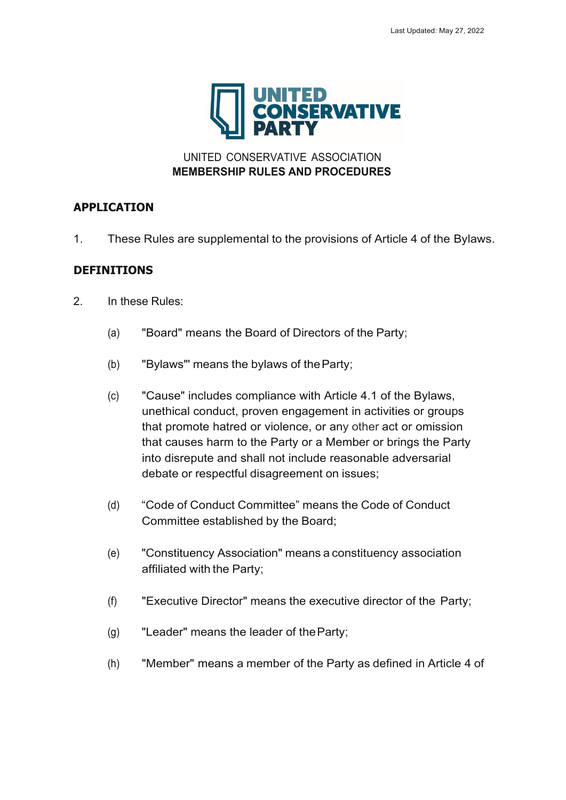

UNITED CONSERVATIVE ASSOCIATION **MEMBERSHIP RULES AND PROCEDURES**

## **APPLICATION**

1. These Rules are supplemental to the provisions of Article 4 of the Bylaws.

# **DEFINITIONS**

- 2. In these Rules:
	- (a) "Board" means the Board of Directors of the Party;
	- (b) "Bylaws"' means the bylaws of theParty;
	- (c) "Cause" includes compliance with Article 4.1 of the Bylaws, unethical conduct, proven engagement in activities or groups that promote hatred or violence, or any other act or omission that causes harm to the Party or a Member or brings the Party into disrepute and shall not include reasonable adversarial debate or respectful disagreement on issues;
	- (d) "Code of Conduct Committee" means the Code of Conduct Committee established by the Board;
	- (e) "Constituency Association" means a constituency association affiliated with the Party;
	- (f) "Executive Director" means the executive director of the Party;
	- (g) "Leader" means the leader of theParty;
	- (h) "Member" means a member of the Party as defined in Article 4 of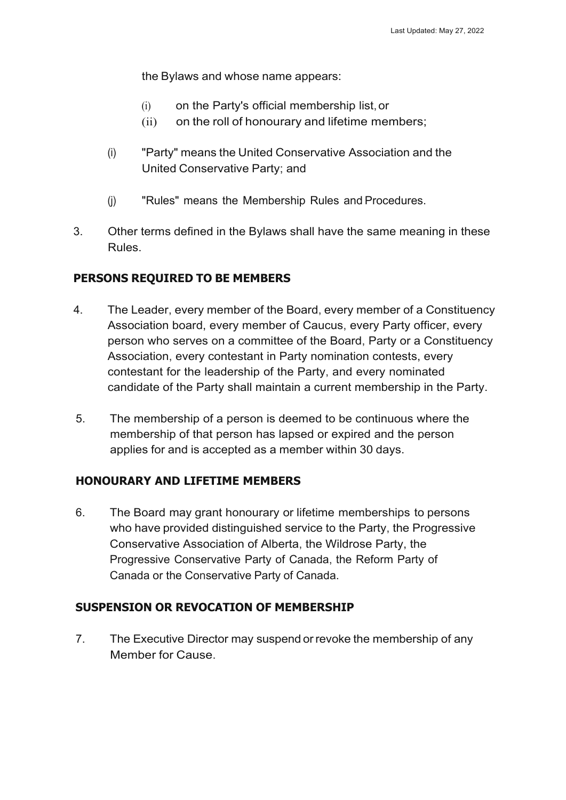the Bylaws and whose name appears:

- (i) on the Party's official membership list,or
- (ii) on the roll of honourary and lifetime members;
- (i) "Party" means the United Conservative Association and the United Conservative Party; and
- (j) "Rules" means the Membership Rules and Procedures.
- 3. Other terms defined in the Bylaws shall have the same meaning in these Rules.

# **PERSONS REQUIRED TO BE MEMBERS**

- 4. The Leader, every member of the Board, every member of a Constituency Association board, every member of Caucus, every Party officer, every person who serves on a committee of the Board, Party or a Constituency Association, every contestant in Party nomination contests, every contestant for the leadership of the Party, and every nominated candidate of the Party shall maintain a current membership in the Party.
- 5. The membership of a person is deemed to be continuous where the membership of that person has lapsed or expired and the person applies for and is accepted as a member within 30 days.

## **HONOURARY AND LIFETIME MEMBERS**

6. The Board may grant honourary or lifetime memberships to persons who have provided distinguished service to the Party, the Progressive Conservative Association of Alberta, the Wildrose Party, the Progressive Conservative Party of Canada, the Reform Party of Canada or the Conservative Party of Canada.

## **SUSPENSION OR REVOCATION OF MEMBERSHIP**

7. The Executive Director may suspend orrevoke the membership of any Member for Cause.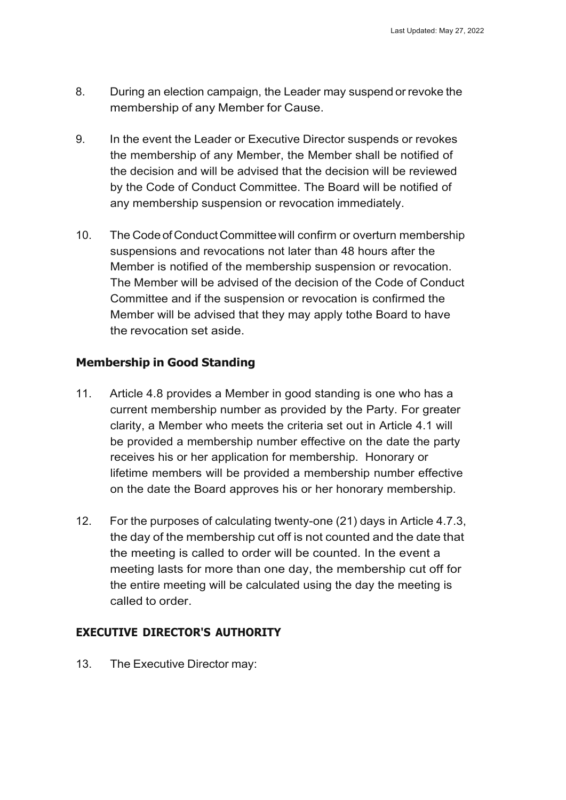- 8. During an election campaign, the Leader may suspend or revoke the membership of any Member for Cause.
- 9. In the event the Leader or Executive Director suspends or revokes the membership of any Member, the Member shall be notified of the decision and will be advised that the decision will be reviewed by the Code of Conduct Committee. The Board will be notified of any membership suspension or revocation immediately.
- 10. The Code of Conduct Committee will confirm or overturn membership suspensions and revocations not later than 48 hours after the Member is notified of the membership suspension or revocation. The Member will be advised of the decision of the Code of Conduct Committee and if the suspension or revocation is confirmed the Member will be advised that they may apply tothe Board to have the revocation set aside.

# **Membership in Good Standing**

- 11. Article 4.8 provides a Member in good standing is one who has a current membership number as provided by the Party. For greater clarity, a Member who meets the criteria set out in Article 4.1 will be provided a membership number effective on the date the party receives his or her application for membership. Honorary or lifetime members will be provided a membership number effective on the date the Board approves his or her honorary membership.
- 12. For the purposes of calculating twenty-one (21) days in Article 4.7.3, the day of the membership cut off is not counted and the date that the meeting is called to order will be counted. In the event a meeting lasts for more than one day, the membership cut off for the entire meeting will be calculated using the day the meeting is called to order.

## **EXECUTIVE DIRECTOR'S AUTHORITY**

13. The Executive Director may: